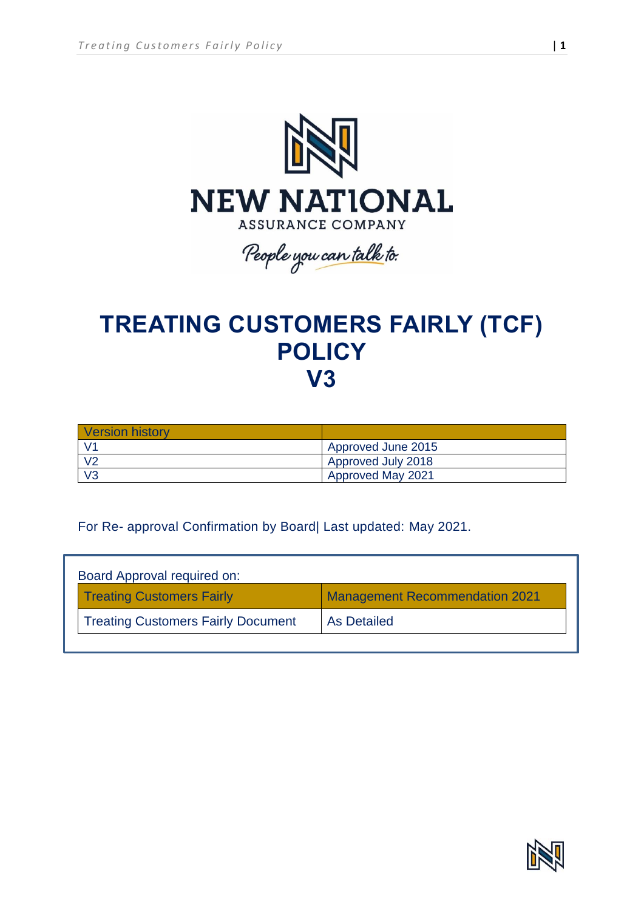

**TREATING CUSTOMERS FAIRLY (TCF) POLICY V3**

| <b>Version history</b> |                          |
|------------------------|--------------------------|
| $\sqrt{4}$             | Approved June 2015       |
| V <sub>2</sub>         | Approved July 2018       |
| V3                     | <b>Approved May 2021</b> |

For Re- approval Confirmation by Board| Last updated: May 2021.

| Board Approval required on:               |                                       |
|-------------------------------------------|---------------------------------------|
| <b>Treating Customers Fairly</b>          | <b>Management Recommendation 2021</b> |
| <b>Treating Customers Fairly Document</b> | As Detailed                           |

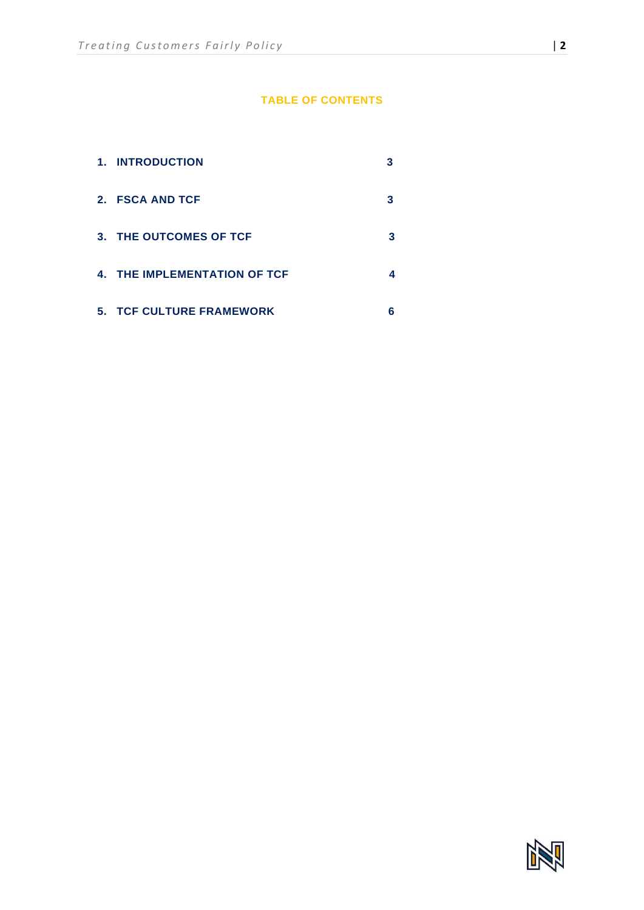# **TABLE OF CONTENTS**

| 1. INTRODUCTION                 |   |
|---------------------------------|---|
| 2. FSCA AND TCF                 |   |
| 3. THE OUTCOMES OF TCF          | 3 |
| 4. THE IMPLEMENTATION OF TCF    | 4 |
| <b>5. TCF CULTURE FRAMEWORK</b> | 6 |

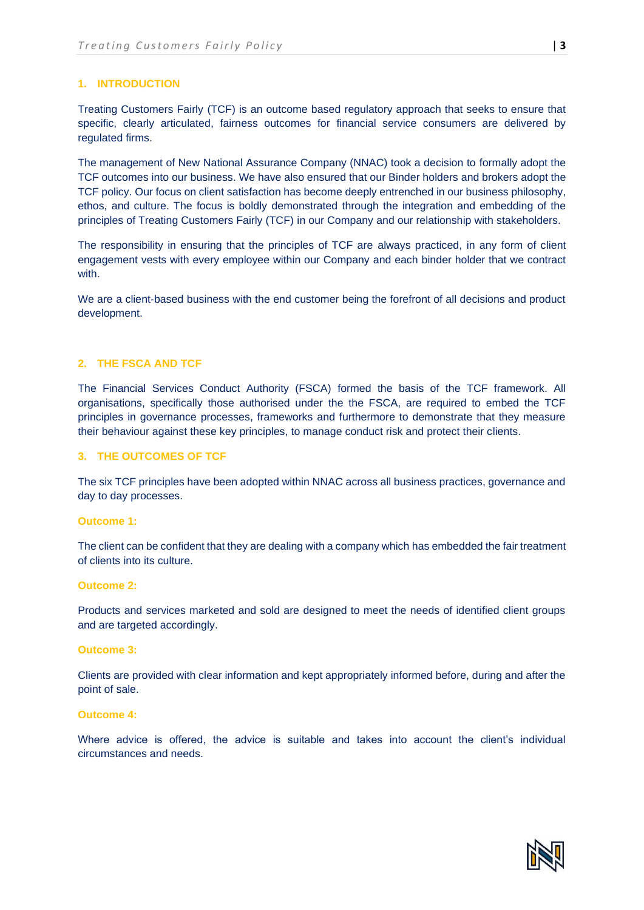### **1. INTRODUCTION**

Treating Customers Fairly (TCF) is an outcome based regulatory approach that seeks to ensure that specific, clearly articulated, fairness outcomes for financial service consumers are delivered by regulated firms.

The management of New National Assurance Company (NNAC) took a decision to formally adopt the TCF outcomes into our business. We have also ensured that our Binder holders and brokers adopt the TCF policy. Our focus on client satisfaction has become deeply entrenched in our business philosophy, ethos, and culture. The focus is boldly demonstrated through the integration and embedding of the principles of Treating Customers Fairly (TCF) in our Company and our relationship with stakeholders.

The responsibility in ensuring that the principles of TCF are always practiced, in any form of client engagement vests with every employee within our Company and each binder holder that we contract with.

We are a client-based business with the end customer being the forefront of all decisions and product development.

#### **2. THE FSCA AND TCF**

The Financial Services Conduct Authority (FSCA) formed the basis of the TCF framework. All organisations, specifically those authorised under the the FSCA, are required to embed the TCF principles in governance processes, frameworks and furthermore to demonstrate that they measure their behaviour against these key principles, to manage conduct risk and protect their clients.

## **3. THE OUTCOMES OF TCF**

The six TCF principles have been adopted within NNAC across all business practices, governance and day to day processes.

#### **Outcome 1:**

The client can be confident that they are dealing with a company which has embedded the fair treatment of clients into its culture.

#### **Outcome 2:**

Products and services marketed and sold are designed to meet the needs of identified client groups and are targeted accordingly.

#### **Outcome 3:**

Clients are provided with clear information and kept appropriately informed before, during and after the point of sale.

#### **Outcome 4:**

Where advice is offered, the advice is suitable and takes into account the client's individual circumstances and needs.

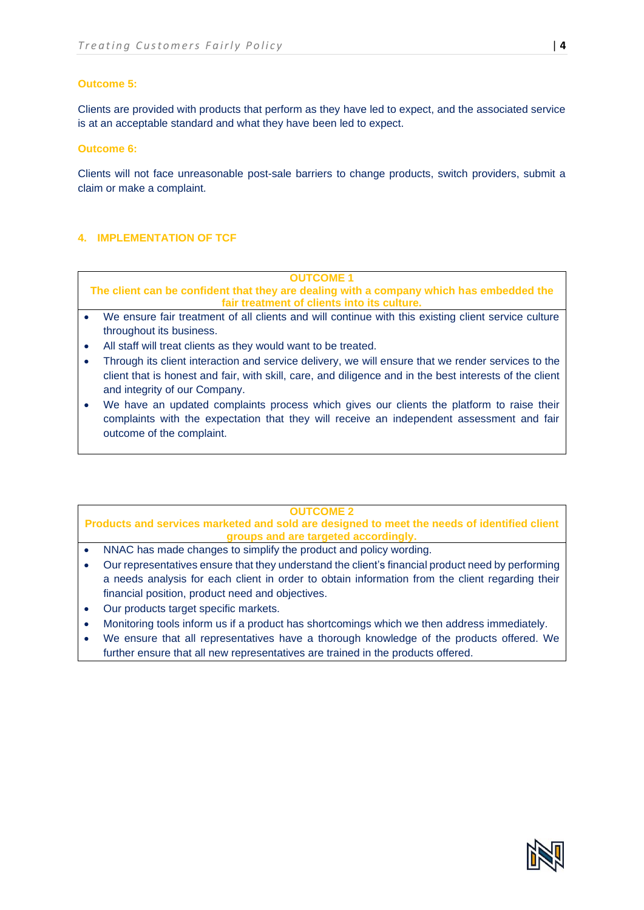## **Outcome 5:**

Clients are provided with products that perform as they have led to expect, and the associated service is at an acceptable standard and what they have been led to expect.

## **Outcome 6:**

Clients will not face unreasonable post-sale barriers to change products, switch providers, submit a claim or make a complaint.

## **4. IMPLEMENTATION OF TCF**

**OUTCOME 1**

**The client can be confident that they are dealing with a company which has embedded the fair treatment of clients into its culture.**

- We ensure fair treatment of all clients and will continue with this existing client service culture throughout its business.
- All staff will treat clients as they would want to be treated.
- Through its client interaction and service delivery, we will ensure that we render services to the client that is honest and fair, with skill, care, and diligence and in the best interests of the client and integrity of our Company.
- We have an updated complaints process which gives our clients the platform to raise their complaints with the expectation that they will receive an independent assessment and fair outcome of the complaint.

#### **OUTCOME 2**

**Products and services marketed and sold are designed to meet the needs of identified client groups and are targeted accordingly.**

- NNAC has made changes to simplify the product and policy wording.
- Our representatives ensure that they understand the client's financial product need by performing a needs analysis for each client in order to obtain information from the client regarding their financial position, product need and objectives.
- Our products target specific markets.
- Monitoring tools inform us if a product has shortcomings which we then address immediately.
- We ensure that all representatives have a thorough knowledge of the products offered. We further ensure that all new representatives are trained in the products offered.

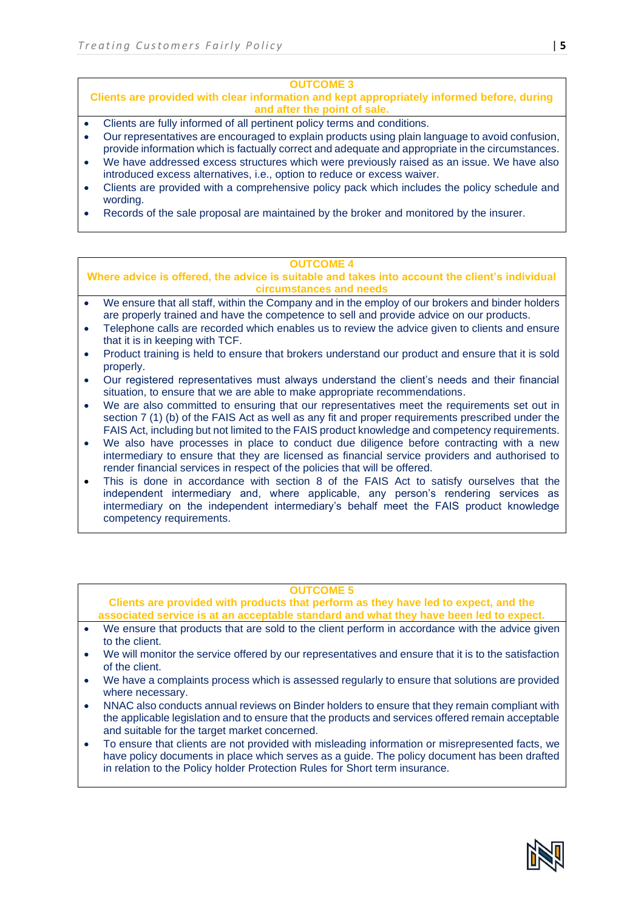## **OUTCOME 3**

**Clients are provided with clear information and kept appropriately informed before, during and after the point of sale.**

- Clients are fully informed of all pertinent policy terms and conditions.
- Our representatives are encouraged to explain products using plain language to avoid confusion, provide information which is factually correct and adequate and appropriate in the circumstances.
- We have addressed excess structures which were previously raised as an issue. We have also introduced excess alternatives, i.e., option to reduce or excess waiver.
- Clients are provided with a comprehensive policy pack which includes the policy schedule and wording.
- Records of the sale proposal are maintained by the broker and monitored by the insurer.

### **OUTCOME 4**

**Where advice is offered, the advice is suitable and takes into account the client's individual circumstances and needs**

- We ensure that all staff, within the Company and in the employ of our brokers and binder holders are properly trained and have the competence to sell and provide advice on our products.
- Telephone calls are recorded which enables us to review the advice given to clients and ensure that it is in keeping with TCF.
- Product training is held to ensure that brokers understand our product and ensure that it is sold properly.
- Our registered representatives must always understand the client's needs and their financial situation, to ensure that we are able to make appropriate recommendations.
- We are also committed to ensuring that our representatives meet the requirements set out in section 7 (1) (b) of the FAIS Act as well as any fit and proper requirements prescribed under the FAIS Act, including but not limited to the FAIS product knowledge and competency requirements.
- We also have processes in place to conduct due diligence before contracting with a new intermediary to ensure that they are licensed as financial service providers and authorised to render financial services in respect of the policies that will be offered.
- This is done in accordance with section 8 of the FAIS Act to satisfy ourselves that the independent intermediary and, where applicable, any person's rendering services as intermediary on the independent intermediary's behalf meet the FAIS product knowledge competency requirements.

## **OUTCOME 5**

**Clients are provided with products that perform as they have led to expect, and the associated service is at an acceptable standard and what they have been led to expect.**

- We ensure that products that are sold to the client perform in accordance with the advice given to the client.
- We will monitor the service offered by our representatives and ensure that it is to the satisfaction of the client.
- We have a complaints process which is assessed regularly to ensure that solutions are provided where necessary.
- NNAC also conducts annual reviews on Binder holders to ensure that they remain compliant with the applicable legislation and to ensure that the products and services offered remain acceptable and suitable for the target market concerned.
- To ensure that clients are not provided with misleading information or misrepresented facts, we have policy documents in place which serves as a guide. The policy document has been drafted in relation to the Policy holder Protection Rules for Short term insurance.